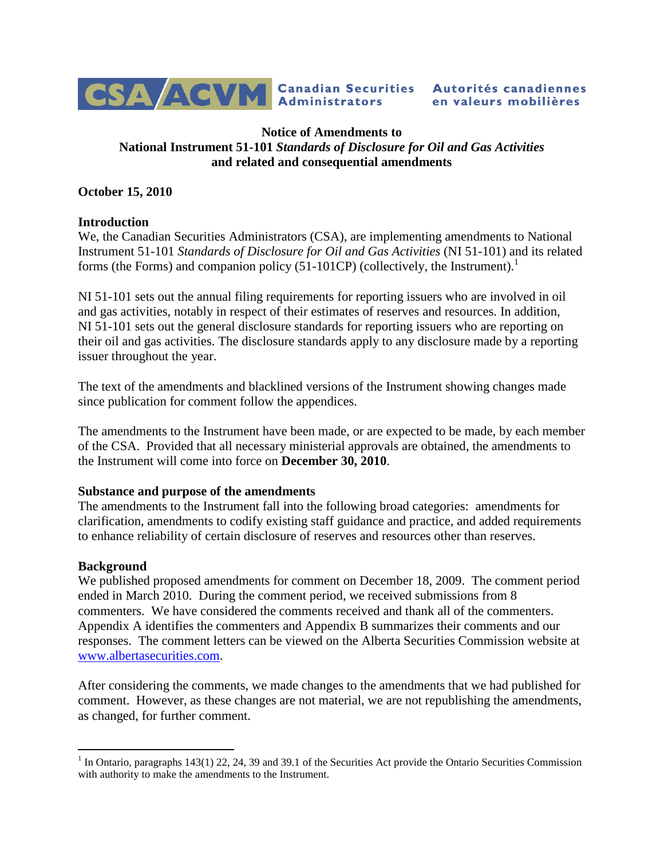

## **Notice of Amendments to National Instrument 51-101** *Standards of Disclosure for Oil and Gas Activities* **and related and consequential amendments**

# **October 15, 2010**

## **Introduction**

We, the Canadian Securities Administrators (CSA), are implementing amendments to National Instrument 51-101 *Standards of Disclosure for Oil and Gas Activities* (NI 51-101) and its related forms (the Forms) and companion policy  $(51-101CP)$  $(51-101CP)$  $(51-101CP)$  (collectively, the Instrument).<sup>1</sup>

NI 51-101 sets out the annual filing requirements for reporting issuers who are involved in oil and gas activities, notably in respect of their estimates of reserves and resources. In addition, NI 51-101 sets out the general disclosure standards for reporting issuers who are reporting on their oil and gas activities. The disclosure standards apply to any disclosure made by a reporting issuer throughout the year.

The text of the amendments and blacklined versions of the Instrument showing changes made since publication for comment follow the appendices.

The amendments to the Instrument have been made, or are expected to be made, by each member of the CSA. Provided that all necessary ministerial approvals are obtained, the amendments to the Instrument will come into force on **December 30, 2010**.

#### **Substance and purpose of the amendments**

The amendments to the Instrument fall into the following broad categories: amendments for clarification, amendments to codify existing staff guidance and practice, and added requirements to enhance reliability of certain disclosure of reserves and resources other than reserves.

## **Background**

We published proposed amendments for comment on December 18, 2009. The comment period ended in March 2010. During the comment period, we received submissions from 8 commenters. We have considered the comments received and thank all of the commenters. Appendix A identifies the commenters and Appendix B summarizes their comments and our responses. The comment letters can be viewed on the Alberta Securities Commission website at [www.albertasecurities.com.](http://www.albertasecurities.com/)

After considering the comments, we made changes to the amendments that we had published for comment. However, as these changes are not material, we are not republishing the amendments, as changed, for further comment.

<span id="page-0-0"></span><sup>&</sup>lt;sup>1</sup> In Ontario, paragraphs 143(1) 22, 24, 39 and 39.1 of the Securities Act provide the Ontario Securities Commission with authority to make the amendments to the Instrument.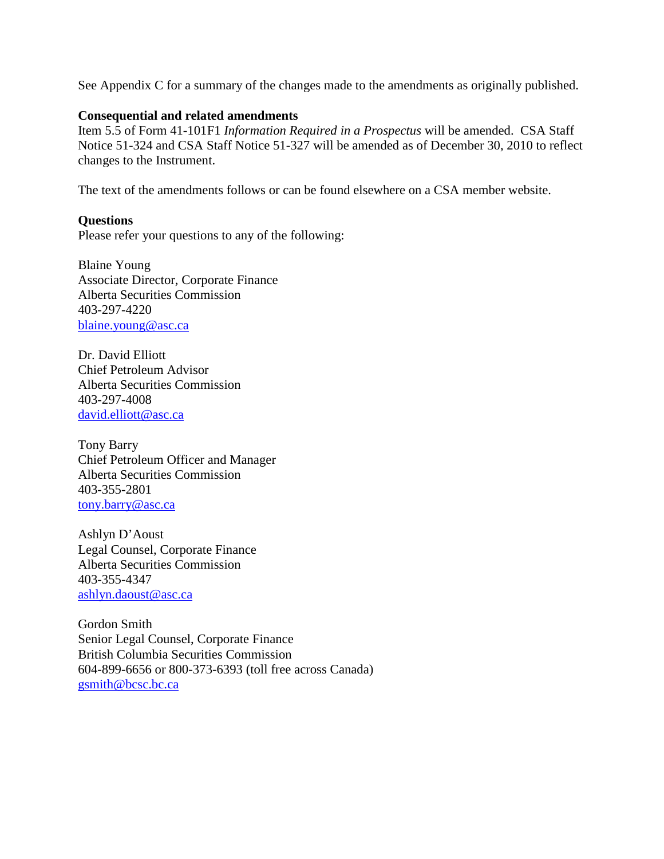See Appendix C for a summary of the changes made to the amendments as originally published.

### **Consequential and related amendments**

Item 5.5 of Form 41-101F1 *Information Required in a Prospectus* will be amended. CSA Staff Notice 51-324 and CSA Staff Notice 51-327 will be amended as of December 30, 2010 to reflect changes to the Instrument.

The text of the amendments follows or can be found elsewhere on a CSA member website.

## **Questions**

Please refer your questions to any of the following:

Blaine Young Associate Director, Corporate Finance Alberta Securities Commission 403-297-4220 blaine.young@asc.ca

Dr. David Elliott Chief Petroleum Advisor Alberta Securities Commission 403-297-4008 david.elliott@asc.ca

Tony Barry Chief Petroleum Officer and Manager Alberta Securities Commission 403-355-2801 [tony.barry@asc.ca](mailto:tony.barry@asc.ca)

Ashlyn D'Aoust Legal Counsel, Corporate Finance Alberta Securities Commission 403-355-4347 [ashlyn.daoust@asc.](mailto:ashlyn.daoust@asc)ca

Gordon Smith Senior Legal Counsel, Corporate Finance British Columbia Securities Commission 604-899-6656 or 800-373-6393 (toll free across Canada) gsmith@bcsc.bc.ca